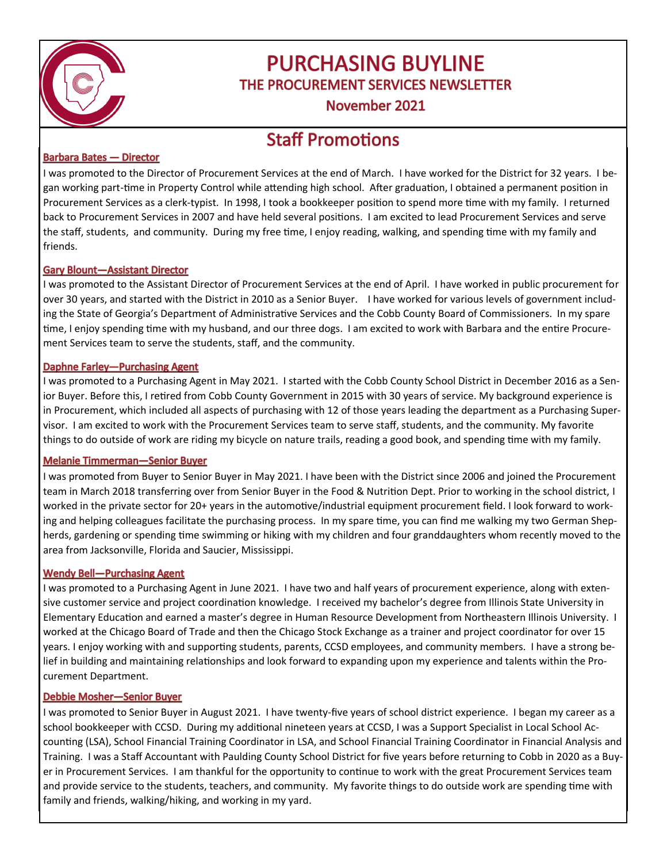

# **PURCHASING BUYLINE** THE PROCUREMENT SERVICES NEWSLETTER

November 2021

# **Staff Promotions**

### **Barbara Bates - Director**

I was promoted to the Director of Procurement Services at the end of March. I have worked for the District for 32 years. I began working part-time in Property Control while attending high school. After graduation, I obtained a permanent position in Procurement Services as a clerk-typist. In 1998, I took a bookkeeper position to spend more time with my family. I returned back to Procurement Services in 2007 and have held several positions. I am excited to lead Procurement Services and serve the staff, students, and community. During my free time, I enjoy reading, walking, and spending time with my family and friends.

### **Gary Blount-Assistant Director**

I was promoted to the Assistant Director of Procurement Services at the end of April. I have worked in public procurement for over 30 years, and started with the District in 2010 as a Senior Buyer. I have worked for various levels of government including the State of Georgia's Department of Administrative Services and the Cobb County Board of Commissioners. In my spare time, I enjoy spending time with my husband, and our three dogs. I am excited to work with Barbara and the entire Procurement Services team to serve the students, staff, and the community.

### **Daphne Farley-Purchasing Agent**

I was promoted to a Purchasing Agent in May 2021. I started with the Cobb County School District in December 2016 as a Senior Buyer. Before this, I retired from Cobb County Government in 2015 with 30 years of service. My background experience is in Procurement, which included all aspects of purchasing with 12 of those years leading the department as a Purchasing Supervisor. I am excited to work with the Procurement Services team to serve staff, students, and the community. My favorite things to do outside of work are riding my bicycle on nature trails, reading a good book, and spending time with my family.

### **Melanie Timmerman-Senior Buyer**

I was promoted from Buyer to Senior Buyer in May 2021. I have been with the District since 2006 and joined the Procurement team in March 2018 transferring over from Senior Buyer in the Food & Nutrition Dept. Prior to working in the school district, I worked in the private sector for 20+ years in the automotive/industrial equipment procurement field. I look forward to working and helping colleagues facilitate the purchasing process. In my spare time, you can find me walking my two German Shepherds, gardening or spending time swimming or hiking with my children and four granddaughters whom recently moved to the area from Jacksonville, Florida and Saucier, Mississippi.

### **Wendy Bell-Purchasing Agent**

I was promoted to a Purchasing Agent in June 2021. I have two and half years of procurement experience, along with extensive customer service and project coordination knowledge. I received my bachelor's degree from Illinois State University in Elementary Education and earned a master's degree in Human Resource Development from Northeastern Illinois University. I worked at the Chicago Board of Trade and then the Chicago Stock Exchange as a trainer and project coordinator for over 15 years. I enjoy working with and supporting students, parents, CCSD employees, and community members. I have a strong belief in building and maintaining relationships and look forward to expanding upon my experience and talents within the Procurement Department.

### **Debbie Mosher-Senior Buyer**

I was promoted to Senior Buyer in August 2021. I have twenty-five years of school district experience. I began my career as a school bookkeeper with CCSD. During my additional nineteen years at CCSD, I was a Support Specialist in Local School Accounting (LSA), School Financial Training Coordinator in LSA, and School Financial Training Coordinator in Financial Analysis and Training. I was a Staff Accountant with Paulding County School District for five years before returning to Cobb in 2020 as a Buyer in Procurement Services. I am thankful for the opportunity to continue to work with the great Procurement Services team and provide service to the students, teachers, and community. My favorite things to do outside work are spending time with family and friends, walking/hiking, and working in my yard.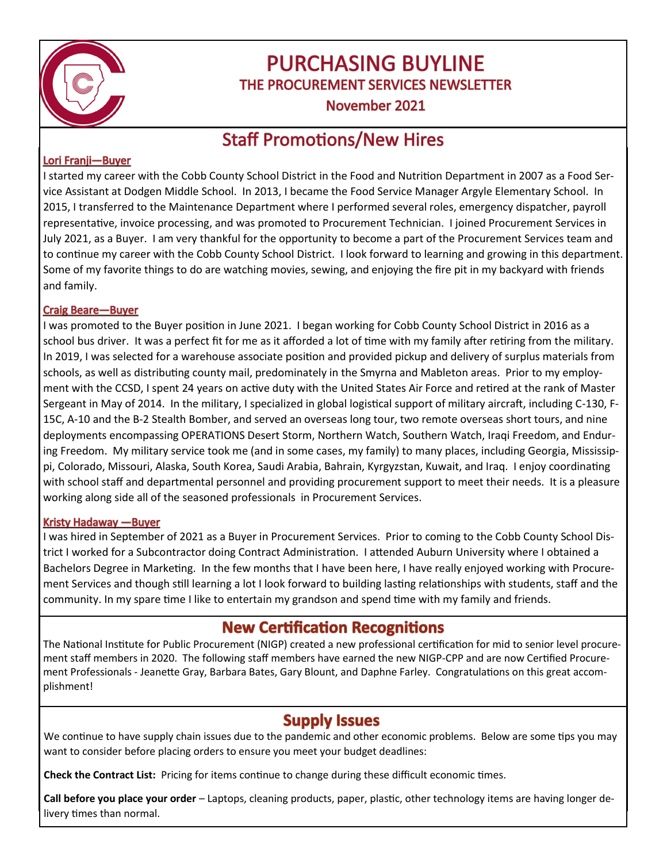

# **PURCHASING BUYLINE** THE PROCUREMENT SERVICES NEWSLETTER

November 2021

## **Staff Promotions/New Hires**

### Lori Franji-Buyer

I started my career with the Cobb County School District in the Food and Nutrition Department in 2007 as a Food Service Assistant at Dodgen Middle School. In 2013, I became the Food Service Manager Argyle Elementary School. In 2015, I transferred to the Maintenance Department where I performed several roles, emergency dispatcher, payroll representative, invoice processing, and was promoted to Procurement Technician. I joined Procurement Services in July 2021, as a Buyer. I am very thankful for the opportunity to become a part of the Procurement Services team and to continue my career with the Cobb County School District. I look forward to learning and growing in this department. Some of my favorite things to do are watching movies, sewing, and enjoying the fire pit in my backyard with friends and family.

### **Craig Beare-Buyer**

I was promoted to the Buyer position in June 2021. I began working for Cobb County School District in 2016 as a school bus driver. It was a perfect fit for me as it afforded a lot of time with my family after retiring from the military. In 2019, I was selected for a warehouse associate position and provided pickup and delivery of surplus materials from schools, as well as distributing county mail, predominately in the Smyrna and Mableton areas. Prior to my employment with the CCSD, I spent 24 years on active duty with the United States Air Force and retired at the rank of Master Sergeant in May of 2014. In the military, I specialized in global logistical support of military aircraft, including C-130, F-15C, A-10 and the B-2 Stealth Bomber, and served an overseas long tour, two remote overseas short tours, and nine deployments encompassing OPERATIONS Desert Storm, Northern Watch, Southern Watch, Iraqi Freedom, and Enduring Freedom. My military service took me (and in some cases, my family) to many places, including Georgia, Mississippi, Colorado, Missouri, Alaska, South Korea, Saudi Arabia, Bahrain, Kyrgyzstan, Kuwait, and Iraq. I enjoy coordinating with school staff and departmental personnel and providing procurement support to meet their needs. It is a pleasure working along side all of the seasoned professionals in Procurement Services.

### **Kristy Hadaway - Buyer**

I was hired in September of 2021 as a Buyer in Procurement Services. Prior to coming to the Cobb County School District I worked for a Subcontractor doing Contract Administration. I attended Auburn University where I obtained a Bachelors Degree in Marketing. In the few months that I have been here, I have really enjoyed working with Procurement Services and though still learning a lot I look forward to building lasting relationships with students, staff and the community. In my spare time I like to entertain my grandson and spend time with my family and friends.

### **New Certification Recognitions**

The National Institute for Public Procurement (NIGP) created a new professional certification for mid to senior level procurement staff members in 2020. The following staff members have earned the new NIGP-CPP and are now Certified Procurement Professionals - Jeanette Gray, Barbara Bates, Gary Blount, and Daphne Farley. Congratulations on this great accomplishment!

### **Supply Issues**

We continue to have supply chain issues due to the pandemic and other economic problems. Below are some tips you may want to consider before placing orders to ensure you meet your budget deadlines:

**Check the Contract List:** Pricing for items continue to change during these difficult economic times.

**Call before you place your order** – Laptops, cleaning products, paper, plastic, other technology items are having longer delivery times than normal.